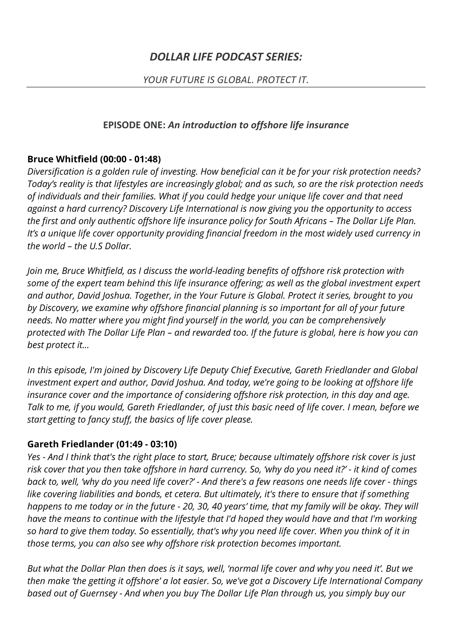## *YOUR FUTURE IS GLOBAL. PROTECT IT.*

### **EPISODE ONE:** *An introduction to offshore life insurance*

### **Bruce Whitfield (00:00 - 01:48)**

*Diversification is a golden rule of investing. How beneficial can it be for your risk protection needs? Today's reality is that lifestyles are increasingly global; and as such, so are the risk protection needs of individuals and their families. What if you could hedge your unique life cover and that need against a hard currency? Discovery Life International is now giving you the opportunity to access the first and only authentic offshore life insurance policy for South Africans – The Dollar Life Plan. It's a unique life cover opportunity providing financial freedom in the most widely used currency in the world – the U.S Dollar.* 

*Join me, Bruce Whitfield, as I discuss the world-leading benefits of offshore risk protection with some of the expert team behind this life insurance offering; as well as the global investment expert and author, David Joshua. Together, in the Your Future is Global. Protect it series, brought to you by Discovery, we examine why offshore financial planning is so important for all of your future needs. No matter where you might find yourself in the world, you can be comprehensively protected with The Dollar Life Plan – and rewarded too. If the future is global, here is how you can best protect it…*

*In this episode, I'm joined by Discovery Life Deputy Chief Executive, Gareth Friedlander and Global investment expert and author, David Joshua. And today, we're going to be looking at offshore life insurance cover and the importance of considering offshore risk protection, in this day and age. Talk to me, if you would, Gareth Friedlander, of just this basic need of life cover. I mean, before we start getting to fancy stuff, the basics of life cover please.*

# **Gareth Friedlander (01:49 - 03:10)**

*Yes - And I think that's the right place to start, Bruce; because ultimately offshore risk cover is just risk cover that you then take offshore in hard currency. So, 'why do you need it?' - it kind of comes back to, well, 'why do you need life cover?' - And there's a few reasons one needs life cover - things like covering liabilities and bonds, et cetera. But ultimately, it's there to ensure that if something happens to me today or in the future - 20, 30, 40 years' time, that my family will be okay. They will have the means to continue with the lifestyle that I'd hoped they would have and that I'm working so hard to give them today. So essentially, that's why you need life cover. When you think of it in those terms, you can also see why offshore risk protection becomes important.*

*But what the Dollar Plan then does is it says, well, 'normal life cover and why you need it'. But we then make 'the getting it offshore' a lot easier. So, we've got a Discovery Life International Company based out of Guernsey - And when you buy The Dollar Life Plan through us, you simply buy our*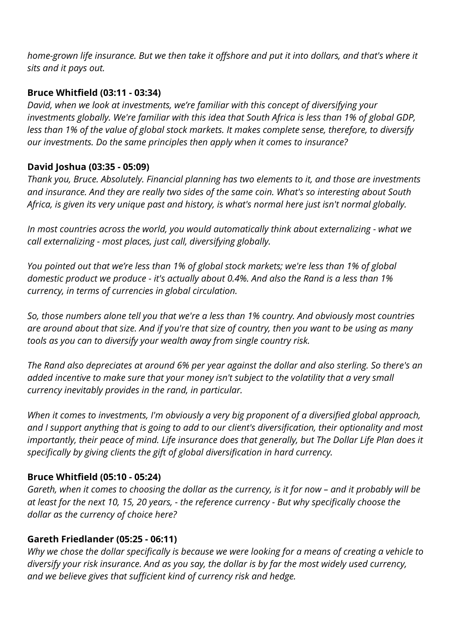*home-grown life insurance. But we then take it offshore and put it into dollars, and that's where it sits and it pays out.*

### **Bruce Whitfield (03:11 - 03:34)**

*David, when we look at investments, we're familiar with this concept of diversifying your investments globally. We're familiar with this idea that South Africa is less than 1% of global GDP, less than 1% of the value of global stock markets. It makes complete sense, therefore, to diversify our investments. Do the same principles then apply when it comes to insurance?*

# **David Joshua (03:35 - 05:09)**

*Thank you, Bruce. Absolutely. Financial planning has two elements to it, and those are investments and insurance. And they are really two sides of the same coin. What's so interesting about South Africa, is given its very unique past and history, is what's normal here just isn't normal globally.*

*In most countries across the world, you would automatically think about externalizing - what we call externalizing - most places, just call, diversifying globally.* 

*You pointed out that we're less than 1% of global stock markets; we're less than 1% of global domestic product we produce - it's actually about 0.4%. And also the Rand is a less than 1% currency, in terms of currencies in global circulation.*

*So, those numbers alone tell you that we're a less than 1% country. And obviously most countries are around about that size. And if you're that size of country, then you want to be using as many tools as you can to diversify your wealth away from single country risk.*

*The Rand also depreciates at around 6% per year against the dollar and also sterling. So there's an added incentive to make sure that your money isn't subject to the volatility that a very small currency inevitably provides in the rand, in particular.*

*When it comes to investments, I'm obviously a very big proponent of a diversified global approach, and I support anything that is going to add to our client's diversification, their optionality and most importantly, their peace of mind. Life insurance does that generally, but The Dollar Life Plan does it specifically by giving clients the gift of global diversification in hard currency.*

### **Bruce Whitfield (05:10 - 05:24)**

*Gareth, when it comes to choosing the dollar as the currency, is it for now – and it probably will be at least for the next 10, 15, 20 years, - the reference currency - But why specifically choose the dollar as the currency of choice here?*

### **Gareth Friedlander (05:25 - 06:11)**

*Why we chose the dollar specifically is because we were looking for a means of creating a vehicle to diversify your risk insurance. And as you say, the dollar is by far the most widely used currency, and we believe gives that sufficient kind of currency risk and hedge.*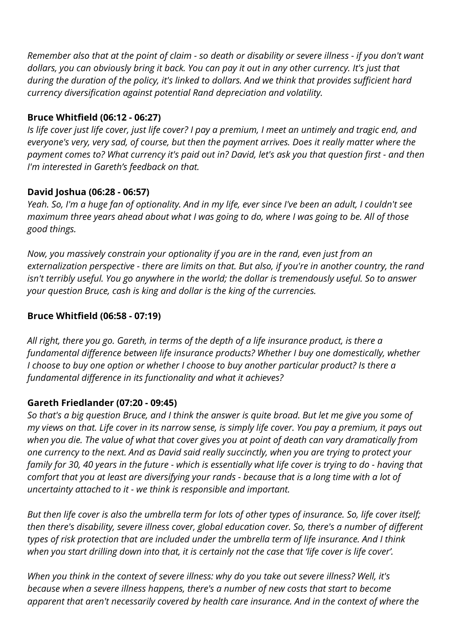*Remember also that at the point of claim - so death or disability or severe illness - if you don't want dollars, you can obviously bring it back. You can pay it out in any other currency. It's just that during the duration of the policy, it's linked to dollars. And we think that provides sufficient hard currency diversification against potential Rand depreciation and volatility.*

## **Bruce Whitfield (06:12 - 06:27)**

*Is life cover just life cover, just life cover? I pay a premium, I meet an untimely and tragic end, and everyone's very, very sad, of course, but then the payment arrives. Does it really matter where the payment comes to? What currency it's paid out in? David, let's ask you that question first - and then I'm interested in Gareth's feedback on that.*

## **David Joshua (06:28 - 06:57)**

*Yeah. So, I'm a huge fan of optionality. And in my life, ever since I've been an adult, I couldn't see maximum three years ahead about what I was going to do, where I was going to be. All of those good things.*

*Now, you massively constrain your optionality if you are in the rand, even just from an externalization perspective - there are limits on that. But also, if you're in another country, the rand isn't terribly useful. You go anywhere in the world; the dollar is tremendously useful. So to answer your question Bruce, cash is king and dollar is the king of the currencies.*

# **Bruce Whitfield (06:58 - 07:19)**

*All right, there you go. Gareth, in terms of the depth of a life insurance product, is there a fundamental difference between life insurance products? Whether I buy one domestically, whether I choose to buy one option or whether I choose to buy another particular product? Is there a fundamental difference in its functionality and what it achieves?*

### **Gareth Friedlander (07:20 - 09:45)**

*So that's a big question Bruce, and I think the answer is quite broad. But let me give you some of my views on that. Life cover in its narrow sense, is simply life cover. You pay a premium, it pays out when you die. The value of what that cover gives you at point of death can vary dramatically from one currency to the next. And as David said really succinctly, when you are trying to protect your family for 30, 40 years in the future - which is essentially what life cover is trying to do - having that comfort that you at least are diversifying your rands - because that is a long time with a lot of uncertainty attached to it - we think is responsible and important.* 

*But then life cover is also the umbrella term for lots of other types of insurance. So, life cover itself; then there's disability, severe illness cover, global education cover. So, there's a number of different types of risk protection that are included under the umbrella term of life insurance. And I think when you start drilling down into that, it is certainly not the case that 'life cover is life cover'.*

*When you think in the context of severe illness: why do you take out severe illness? Well, it's because when a severe illness happens, there's a number of new costs that start to become apparent that aren't necessarily covered by health care insurance. And in the context of where the*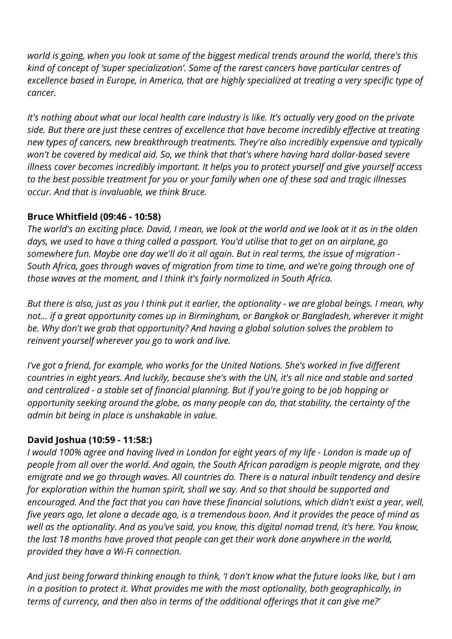*world is going, when you look at some of the biggest medical trends around the world, there's this kind of concept of 'super specialization'. Some of the rarest cancers have particular centres of excellence based in Europe, in America, that are highly specialized at treating a very specific type of cancer.*

*It's nothing about what our local health care industry is like. It's actually very good on the private side. But there are just these centres of excellence that have become incredibly effective at treating new types of cancers, new breakthrough treatments. They're also incredibly expensive and typically won't be covered by medical aid. So, we think that that's where having hard dollar-based severe illness cover becomes incredibly important. It helps you to protect yourself and give yourself access to the best possible treatment for you or your family when one of these sad and tragic illnesses occur. And that is invaluable, we think Bruce.*

## **Bruce Whitfield (09:46 - 10:58)**

*The world's an exciting place. David, I mean, we look at the world and we look at it as in the olden days, we used to have a thing called a passport. You'd utilise that to get on an airplane, go somewhere fun. Maybe one day we'll do it all again. But in real terms, the issue of migration - South Africa, goes through waves of migration from time to time, and we're going through one of those waves at the moment, and I think it's fairly normalized in South Africa.*

*But there is also, just as you I think put it earlier, the optionality - we are global beings. I mean, why not… if a great opportunity comes up in Birmingham, or Bangkok or Bangladesh, wherever it might be. Why don't we grab that opportunity? And having a global solution solves the problem to reinvent yourself wherever you go to work and live.* 

*I've got a friend, for example, who works for the United Nations. She's worked in five different countries in eight years. And luckily, because she's with the UN, it's all nice and stable and sorted and centralized - a stable set of financial planning. But if you're going to be job hopping or opportunity seeking around the globe, as many people can do, that stability, the certainty of the admin bit being in place is unshakable in value.*

# **David Joshua (10:59 - 11:58:)**

*I would 100% agree and having lived in London for eight years of my life - London is made up of people from all over the world. And again, the South African paradigm is people migrate, and they emigrate and we go through waves. All countries do. There is a natural inbuilt tendency and desire for exploration within the human spirit, shall we say. And so that should be supported and encouraged. And the fact that you can have these financial solutions, which didn't exist a year, well, five years ago, let alone a decade ago, is a tremendous boon. And it provides the peace of mind as well as the optionality. And as you've said, you know, this digital nomad trend, it's here. You know, the last 18 months have proved that people can get their work done anywhere in the world, provided they have a Wi-Fi connection.*

*And just being forward thinking enough to think, 'I don't know what the future looks like, but I am in a position to protect it. What provides me with the most optionality, both geographically, in terms of currency, and then also in terms of the additional offerings that it can give me?'*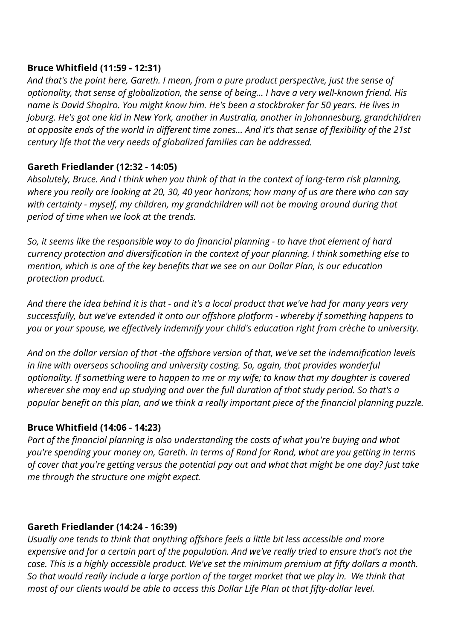## **Bruce Whitfield (11:59 - 12:31)**

*And that's the point here, Gareth. I mean, from a pure product perspective, just the sense of optionality, that sense of globalization, the sense of being… I have a very well-known friend. His name is David Shapiro. You might know him. He's been a stockbroker for 50 years. He lives in Joburg. He's got one kid in New York, another in Australia, another in Johannesburg, grandchildren at opposite ends of the world in different time zones… And it's that sense of flexibility of the 21st century life that the very needs of globalized families can be addressed.*

# **Gareth Friedlander (12:32 - 14:05)**

*Absolutely, Bruce. And I think when you think of that in the context of long-term risk planning, where you really are looking at 20, 30, 40 year horizons; how many of us are there who can say with certainty - myself, my children, my grandchildren will not be moving around during that period of time when we look at the trends.*

*So, it seems like the responsible way to do financial planning - to have that element of hard currency protection and diversification in the context of your planning. I think something else to mention, which is one of the key benefits that we see on our Dollar Plan, is our education protection product.*

*And there the idea behind it is that - and it's a local product that we've had for many years very successfully, but we've extended it onto our offshore platform - whereby if something happens to you or your spouse, we effectively indemnify your child's education right from crèche to university.*

*And on the dollar version of that -the offshore version of that, we've set the indemnification levels in line with overseas schooling and university costing. So, again, that provides wonderful optionality. If something were to happen to me or my wife; to know that my daughter is covered wherever she may end up studying and over the full duration of that study period. So that's a popular benefit on this plan, and we think a really important piece of the financial planning puzzle.*

### **Bruce Whitfield (14:06 - 14:23)**

*Part of the financial planning is also understanding the costs of what you're buying and what you're spending your money on, Gareth. In terms of Rand for Rand, what are you getting in terms of cover that you're getting versus the potential pay out and what that might be one day? Just take me through the structure one might expect.*

### **Gareth Friedlander (14:24 - 16:39)**

*Usually one tends to think that anything offshore feels a little bit less accessible and more expensive and for a certain part of the population. And we've really tried to ensure that's not the case. This is a highly accessible product. We've set the minimum premium at fifty dollars a month. So that would really include a large portion of the target market that we play in. We think that most of our clients would be able to access this Dollar Life Plan at that fifty-dollar level.*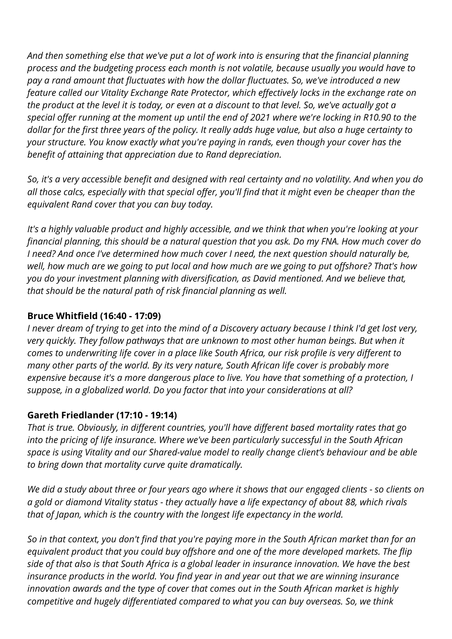*And then something else that we've put a lot of work into is ensuring that the financial planning process and the budgeting process each month is not volatile, because usually you would have to pay a rand amount that fluctuates with how the dollar fluctuates. So, we've introduced a new feature called our Vitality Exchange Rate Protector, which effectively locks in the exchange rate on the product at the level it is today, or even at a discount to that level. So, we've actually got a special offer running at the moment up until the end of 2021 where we're locking in R10.90 to the dollar for the first three years of the policy. It really adds huge value, but also a huge certainty to your structure. You know exactly what you're paying in rands, even though your cover has the benefit of attaining that appreciation due to Rand depreciation.*

*So, it's a very accessible benefit and designed with real certainty and no volatility. And when you do all those calcs, especially with that special offer, you'll find that it might even be cheaper than the equivalent Rand cover that you can buy today.*

*It's a highly valuable product and highly accessible, and we think that when you're looking at your financial planning, this should be a natural question that you ask. Do my FNA. How much cover do I need? And once I've determined how much cover I need, the next question should naturally be, well, how much are we going to put local and how much are we going to put offshore? That's how you do your investment planning with diversification, as David mentioned. And we believe that, that should be the natural path of risk financial planning as well.*

# **Bruce Whitfield (16:40 - 17:09)**

*I never dream of trying to get into the mind of a Discovery actuary because I think I'd get lost very, very quickly. They follow pathways that are unknown to most other human beings. But when it comes to underwriting life cover in a place like South Africa, our risk profile is very different to many other parts of the world. By its very nature, South African life cover is probably more expensive because it's a more dangerous place to live. You have that something of a protection, I suppose, in a globalized world. Do you factor that into your considerations at all?*

### **Gareth Friedlander (17:10 - 19:14)**

*That is true. Obviously, in different countries, you'll have different based mortality rates that go into the pricing of life insurance. Where we've been particularly successful in the South African space is using Vitality and our Shared-value model to really change client's behaviour and be able to bring down that mortality curve quite dramatically.*

*We did a study about three or four years ago where it shows that our engaged clients - so clients on a gold or diamond Vitality status - they actually have a life expectancy of about 88, which rivals that of Japan, which is the country with the longest life expectancy in the world.*

*So in that context, you don't find that you're paying more in the South African market than for an equivalent product that you could buy offshore and one of the more developed markets. The flip side of that also is that South Africa is a global leader in insurance innovation. We have the best insurance products in the world. You find year in and year out that we are winning insurance innovation awards and the type of cover that comes out in the South African market is highly competitive and hugely differentiated compared to what you can buy overseas. So, we think*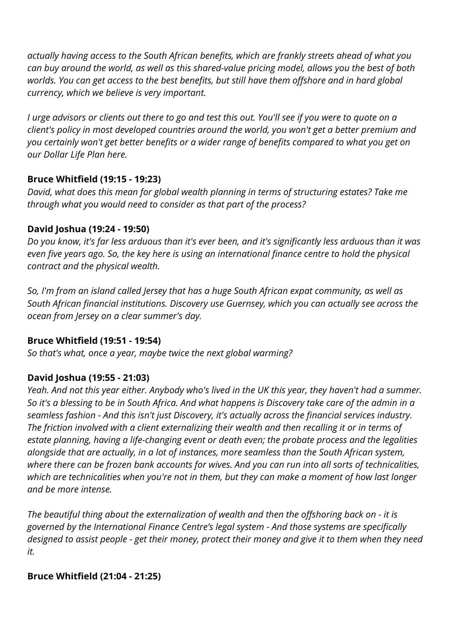*actually having access to the South African benefits, which are frankly streets ahead of what you can buy around the world, as well as this shared-value pricing model, allows you the best of both worlds. You can get access to the best benefits, but still have them offshore and in hard global currency, which we believe is very important.* 

*I urge advisors or clients out there to go and test this out. You'll see if you were to quote on a client's policy in most developed countries around the world, you won't get a better premium and you certainly won't get better benefits or a wider range of benefits compared to what you get on our Dollar Life Plan here.*

## **Bruce Whitfield (19:15 - 19:23)**

*David, what does this mean for global wealth planning in terms of structuring estates? Take me through what you would need to consider as that part of the process?*

## **David Joshua (19:24 - 19:50)**

*Do you know, it's far less arduous than it's ever been, and it's significantly less arduous than it was even five years ago. So, the key here is using an international finance centre to hold the physical contract and the physical wealth.*

*So, I'm from an island called Jersey that has a huge South African expat community, as well as South African financial institutions. Discovery use Guernsey, which you can actually see across the ocean from Jersey on a clear summer's day.*

# **Bruce Whitfield (19:51 - 19:54)**

*So that's what, once a year, maybe twice the next global warming?*

# **David Joshua (19:55 - 21:03)**

*Yeah. And not this year either. Anybody who's lived in the UK this year, they haven't had a summer. So it's a blessing to be in South Africa. And what happens is Discovery take care of the admin in a seamless fashion - And this isn't just Discovery, it's actually across the financial services industry. The friction involved with a client externalizing their wealth and then recalling it or in terms of estate planning, having a life-changing event or death even; the probate process and the legalities alongside that are actually, in a lot of instances, more seamless than the South African system, where there can be frozen bank accounts for wives. And you can run into all sorts of technicalities, which are technicalities when you're not in them, but they can make a moment of how last longer and be more intense.* 

*The beautiful thing about the externalization of wealth and then the offshoring back on - it is governed by the International Finance Centre's legal system - And those systems are specifically designed to assist people - get their money, protect their money and give it to them when they need it.*

# **Bruce Whitfield (21:04 - 21:25)**